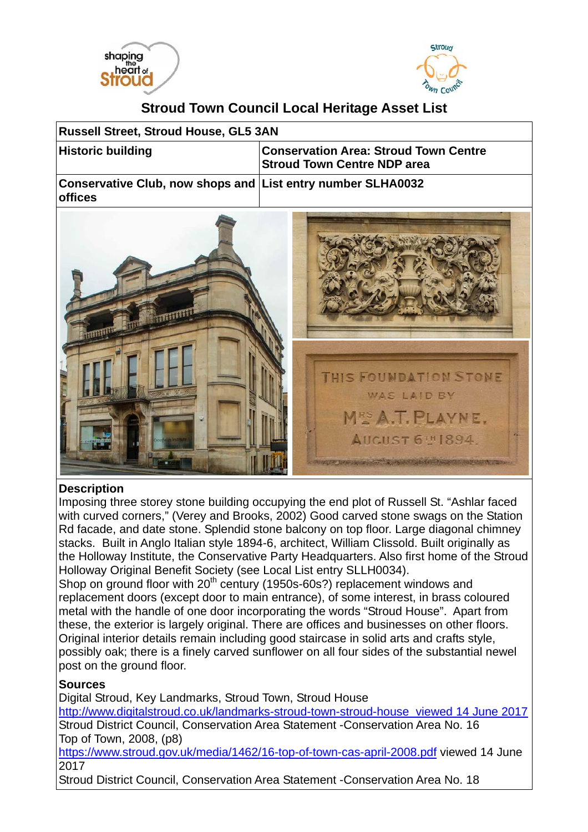



## **Stroud Town Council Local Heritage Asset List**

| Russell Street, Stroud House, GL5 3AN                                         |                                                                                     |
|-------------------------------------------------------------------------------|-------------------------------------------------------------------------------------|
| <b>Historic building</b>                                                      | <b>Conservation Area: Stroud Town Centre</b><br><b>Stroud Town Centre NDP area</b>  |
| Conservative Club, now shops and List entry number SLHA0032<br><b>offices</b> |                                                                                     |
|                                                                               | THIS FOUNDATION STONE<br>WAS LAID BY<br>MES A.T. PLAYNE.<br><b>AUCUST 6TH 1894.</b> |

## **Description**

Imposing three storey stone building occupying the end plot of Russell St. "Ashlar faced with curved corners," (Verey and Brooks, 2002) Good carved stone swags on the Station Rd facade, and date stone. Splendid stone balcony on top floor. Large diagonal chimney stacks. Built in Anglo Italian style 1894-6, architect, William Clissold. Built originally as the Holloway Institute, the Conservative Party Headquarters. Also first home of the Stroud Holloway Original Benefit Society (see Local List entry SLLH0034).

Shop on ground floor with 20<sup>th</sup> century (1950s-60s?) replacement windows and replacement doors (except door to main entrance), of some interest, in brass coloured metal with the handle of one door incorporating the words "Stroud House". Apart from these, the exterior is largely original. There are offices and businesses on other floors. Original interior details remain including good staircase in solid arts and crafts style, possibly oak; there is a finely carved sunflower on all four sides of the substantial newel post on the ground floor.

## **Sources**

Digital Stroud, Key Landmarks, Stroud Town, Stroud House

http://www.digitalstroud.co.uk/landmarks-stroud-town-stroud-house viewed 14 June 2017 Stroud District Council, Conservation Area Statement -Conservation Area No. 16 Top of Town, 2008, (p8)

https://www.stroud.gov.uk/media/1462/16-top-of-town-cas-april-2008.pdf viewed 14 June 2017

Stroud District Council, Conservation Area Statement -Conservation Area No. 18